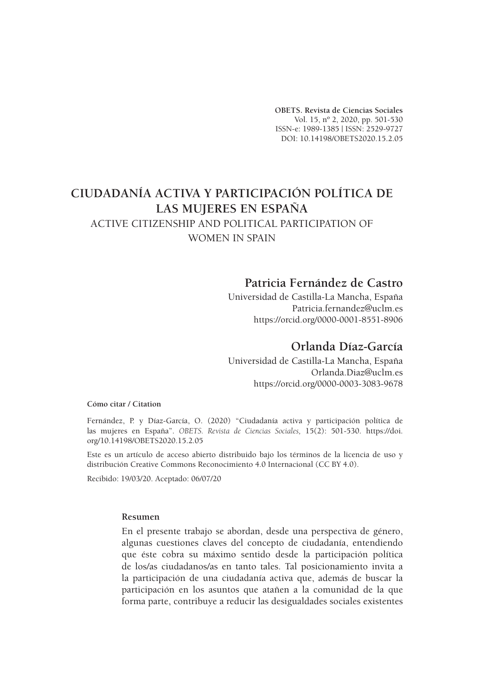**OBETS. Revista de Ciencias Sociales** Vol. 15, nº 2, 2020, pp. 501-530 ISSN-e: 1989-1385 | ISSN: 2529-9727 DOI: 10.14198/OBETS2020.15.2.05

# **CIUDADANÍA ACTIVA Y PARTICIPACIÓN POLÍTICA DE LAS MUJERES EN ESPAÑA**

# ACTIVE CITIZENSHIP AND POLITICAL PARTICIPATION OF

WOMEN IN SPAIN

# **Patricia Fernández de Castro**

Universidad de Castilla-La Mancha, España Patricia.fernandez@uclm.es https://orcid.org/0000-0001-8551-8906

# **Orlanda Díaz-García**

Universidad de Castilla-La Mancha, España Orlanda.Diaz@uclm.es https://orcid.org/0000-0003-3083-9678

**Cómo citar / Citation**

Fernández, P. y Díaz-García, O. (2020) "Ciudadanía activa y participación política de las mujeres en España". *OBETS. Revista de Ciencias Sociales,* 15(2): 501-530. https://doi. org/10.14198/OBETS2020.15.2.05

Este es un artículo de acceso abierto distribuido bajo los términos de la licencia de uso y distribución Creative Commons Reconocimiento 4.0 Internacional (CC BY 4.0).

Recibido: 19/03/20. Aceptado: 06/07/20

#### **Resumen**

En el presente trabajo se abordan, desde una perspectiva de género, algunas cuestiones claves del concepto de ciudadanía, entendiendo que éste cobra su máximo sentido desde la participación política de los/as ciudadanos/as en tanto tales. Tal posicionamiento invita a la participación de una ciudadanía activa que, además de buscar la participación en los asuntos que atañen a la comunidad de la que forma parte, contribuye a reducir las desigualdades sociales existentes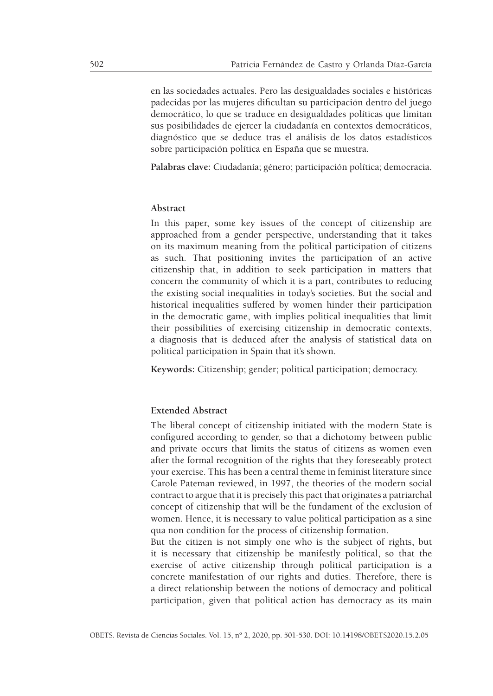en las sociedades actuales. Pero las desigualdades sociales e históricas padecidas por las mujeres dificultan su participación dentro del juego democrático, lo que se traduce en desigualdades políticas que limitan sus posibilidades de ejercer la ciudadanía en contextos democráticos, diagnóstico que se deduce tras el análisis de los datos estadísticos sobre participación política en España que se muestra.

**Palabras clave:** Ciudadanía; género; participación política; democracia.

#### **Abstract**

In this paper, some key issues of the concept of citizenship are approached from a gender perspective, understanding that it takes on its maximum meaning from the political participation of citizens as such. That positioning invites the participation of an active citizenship that, in addition to seek participation in matters that concern the community of which it is a part, contributes to reducing the existing social inequalities in today's societies. But the social and historical inequalities suffered by women hinder their participation in the democratic game, with implies political inequalities that limit their possibilities of exercising citizenship in democratic contexts, a diagnosis that is deduced after the analysis of statistical data on political participation in Spain that it's shown.

**Keywords:** Citizenship; gender; political participation; democracy.

#### **Extended Abstract**

The liberal concept of citizenship initiated with the modern State is configured according to gender, so that a dichotomy between public and private occurs that limits the status of citizens as women even after the formal recognition of the rights that they foreseeably protect your exercise. This has been a central theme in feminist literature since Carole Pateman reviewed, in 1997, the theories of the modern social contract to argue that it is precisely this pact that originates a patriarchal concept of citizenship that will be the fundament of the exclusion of women. Hence, it is necessary to value political participation as a sine qua non condition for the process of citizenship formation.

But the citizen is not simply one who is the subject of rights, but it is necessary that citizenship be manifestly political, so that the exercise of active citizenship through political participation is a concrete manifestation of our rights and duties. Therefore, there is a direct relationship between the notions of democracy and political participation, given that political action has democracy as its main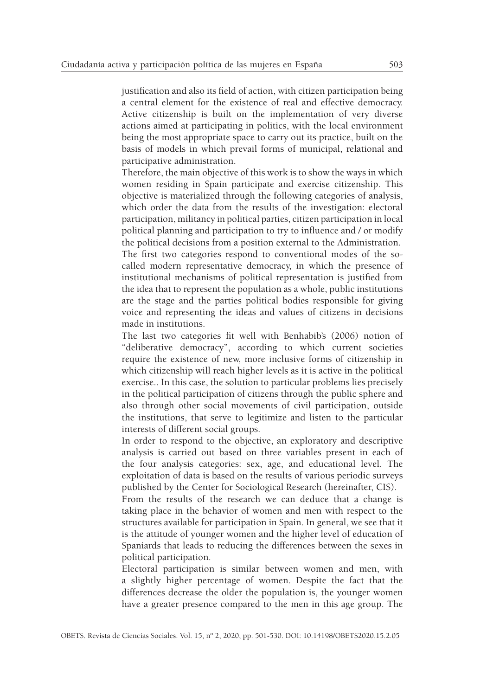justification and also its field of action, with citizen participation being a central element for the existence of real and effective democracy. Active citizenship is built on the implementation of very diverse actions aimed at participating in politics, with the local environment being the most appropriate space to carry out its practice, built on the basis of models in which prevail forms of municipal, relational and participative administration.

Therefore, the main objective of this work is to show the ways in which women residing in Spain participate and exercise citizenship. This objective is materialized through the following categories of analysis, which order the data from the results of the investigation: electoral participation, militancy in political parties, citizen participation in local political planning and participation to try to influence and / or modify the political decisions from a position external to the Administration. The first two categories respond to conventional modes of the so-

called modern representative democracy, in which the presence of institutional mechanisms of political representation is justified from the idea that to represent the population as a whole, public institutions are the stage and the parties political bodies responsible for giving voice and representing the ideas and values of citizens in decisions made in institutions.

The last two categories fit well with Benhabib's (2006) notion of "deliberative democracy", according to which current societies require the existence of new, more inclusive forms of citizenship in which citizenship will reach higher levels as it is active in the political exercise.. In this case, the solution to particular problems lies precisely in the political participation of citizens through the public sphere and also through other social movements of civil participation, outside the institutions, that serve to legitimize and listen to the particular interests of different social groups.

In order to respond to the objective, an exploratory and descriptive analysis is carried out based on three variables present in each of the four analysis categories: sex, age, and educational level. The exploitation of data is based on the results of various periodic surveys published by the Center for Sociological Research (hereinafter, CIS).

From the results of the research we can deduce that a change is taking place in the behavior of women and men with respect to the structures available for participation in Spain. In general, we see that it is the attitude of younger women and the higher level of education of Spaniards that leads to reducing the differences between the sexes in political participation.

Electoral participation is similar between women and men, with a slightly higher percentage of women. Despite the fact that the differences decrease the older the population is, the younger women have a greater presence compared to the men in this age group. The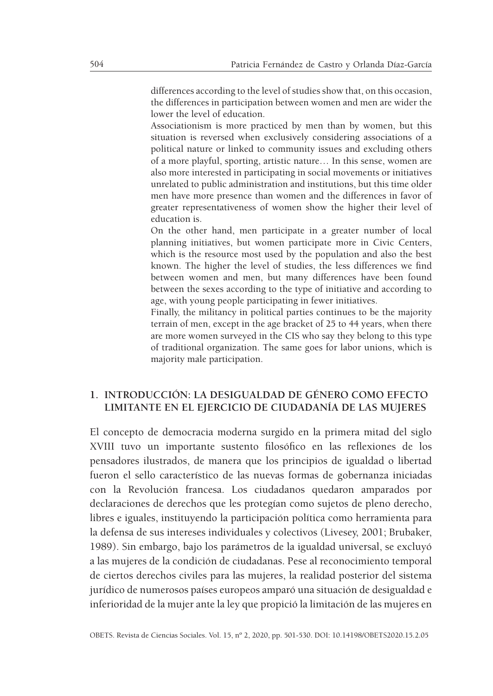differences according to the level of studies show that, on this occasion, the differences in participation between women and men are wider the lower the level of education.

Associationism is more practiced by men than by women, but this situation is reversed when exclusively considering associations of a political nature or linked to community issues and excluding others of a more playful, sporting, artistic nature… In this sense, women are also more interested in participating in social movements or initiatives unrelated to public administration and institutions, but this time older men have more presence than women and the differences in favor of greater representativeness of women show the higher their level of education is.

On the other hand, men participate in a greater number of local planning initiatives, but women participate more in Civic Centers, which is the resource most used by the population and also the best known. The higher the level of studies, the less differences we find between women and men, but many differences have been found between the sexes according to the type of initiative and according to age, with young people participating in fewer initiatives.

Finally, the militancy in political parties continues to be the majority terrain of men, except in the age bracket of 25 to 44 years, when there are more women surveyed in the CIS who say they belong to this type of traditional organization. The same goes for labor unions, which is majority male participation.

# **1. INTRODUCCIÓN: LA DESIGUALDAD DE GÉNERO COMO EFECTO LIMITANTE EN EL EJERCICIO DE CIUDADANÍA DE LAS MUJERES**

El concepto de democracia moderna surgido en la primera mitad del siglo XVIII tuvo un importante sustento filosófico en las reflexiones de los pensadores ilustrados, de manera que los principios de igualdad o libertad fueron el sello característico de las nuevas formas de gobernanza iniciadas con la Revolución francesa. Los ciudadanos quedaron amparados por declaraciones de derechos que les protegían como sujetos de pleno derecho, libres e iguales, instituyendo la participación política como herramienta para la defensa de sus intereses individuales y colectivos (Livesey, 2001; Brubaker, 1989). Sin embargo, bajo los parámetros de la igualdad universal, se excluyó a las mujeres de la condición de ciudadanas. Pese al reconocimiento temporal de ciertos derechos civiles para las mujeres, la realidad posterior del sistema jurídico de numerosos países europeos amparó una situación de desigualdad e inferioridad de la mujer ante la ley que propició la limitación de las mujeres en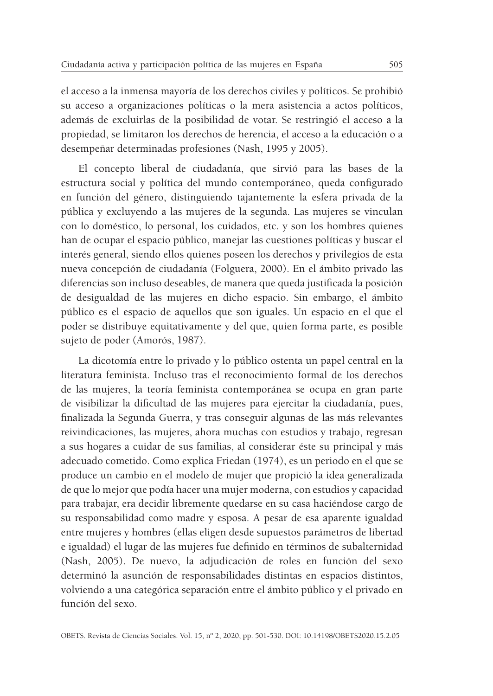el acceso a la inmensa mayoría de los derechos civiles y políticos. Se prohibió su acceso a organizaciones políticas o la mera asistencia a actos políticos, además de excluirlas de la posibilidad de votar. Se restringió el acceso a la propiedad, se limitaron los derechos de herencia, el acceso a la educación o a desempeñar determinadas profesiones (Nash, 1995 y 2005).

El concepto liberal de ciudadanía, que sirvió para las bases de la estructura social y política del mundo contemporáneo, queda configurado en función del género, distinguiendo tajantemente la esfera privada de la pública y excluyendo a las mujeres de la segunda. Las mujeres se vinculan con lo doméstico, lo personal, los cuidados, etc. y son los hombres quienes han de ocupar el espacio público, manejar las cuestiones políticas y buscar el interés general, siendo ellos quienes poseen los derechos y privilegios de esta nueva concepción de ciudadanía (Folguera, 2000). En el ámbito privado las diferencias son incluso deseables, de manera que queda justificada la posición de desigualdad de las mujeres en dicho espacio. Sin embargo, el ámbito público es el espacio de aquellos que son iguales. Un espacio en el que el poder se distribuye equitativamente y del que, quien forma parte, es posible sujeto de poder (Amorós, 1987).

La dicotomía entre lo privado y lo público ostenta un papel central en la literatura feminista. Incluso tras el reconocimiento formal de los derechos de las mujeres, la teoría feminista contemporánea se ocupa en gran parte de visibilizar la dificultad de las mujeres para ejercitar la ciudadanía, pues, finalizada la Segunda Guerra, y tras conseguir algunas de las más relevantes reivindicaciones, las mujeres, ahora muchas con estudios y trabajo, regresan a sus hogares a cuidar de sus familias, al considerar éste su principal y más adecuado cometido. Como explica Friedan (1974), es un periodo en el que se produce un cambio en el modelo de mujer que propició la idea generalizada de que lo mejor que podía hacer una mujer moderna, con estudios y capacidad para trabajar, era decidir libremente quedarse en su casa haciéndose cargo de su responsabilidad como madre y esposa. A pesar de esa aparente igualdad entre mujeres y hombres (ellas eligen desde supuestos parámetros de libertad e igualdad) el lugar de las mujeres fue definido en términos de subalternidad (Nash, 2005). De nuevo, la adjudicación de roles en función del sexo determinó la asunción de responsabilidades distintas en espacios distintos, volviendo a una categórica separación entre el ámbito público y el privado en función del sexo.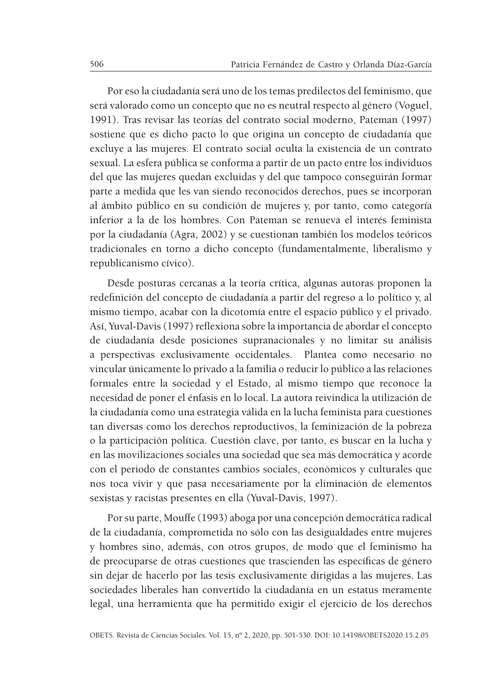Por eso la ciudadanía será uno de los temas predilectos del feminismo, que será valorado como un concepto que no es neutral respecto al género (Voguel, 1991). Tras revisar las teorías del contrato social moderno, Pateman (1997) sostiene que es dicho pacto lo que origina un concepto de ciudadanía que excluye a las mujeres. El contrato social oculta la existencia de un contrato sexual. La esfera pública se conforma a partir de un pacto entre los individuos del que las mujeres quedan excluidas y del que tampoco conseguirán formar parte a medida que les van siendo reconocidos derechos, pues se incorporan al ámbito público en su condición de mujeres y, por tanto, como categoría inferior a la de los hombres. Con Pateman se renueva el interés feminista por la ciudadanía (Agra, 2002) y se cuestionan también los modelos teóricos tradicionales en torno a dicho concepto (fundamentalmente, liberalismo y republicanismo cívico).

Desde posturas cercanas a la teoría crítica, algunas autoras proponen la redefinición del concepto de ciudadanía a partir del regreso a lo político y, al mismo tiempo, acabar con la dicotomía entre el espacio público y el privado. Así, Yuval-Davis (1997) reflexiona sobre la importancia de abordar el concepto de ciudadanía desde posiciones supranacionales y no limitar su análisis a perspectivas exclusivamente occidentales. Plantea como necesario no vincular únicamente lo privado a la familia o reducir lo público a las relaciones formales entre la sociedad y el Estado, al mismo tiempo que reconoce la necesidad de poner el énfasis en lo local. La autora reivindica la utilización de la ciudadanía como una estrategia válida en la lucha feminista para cuestiones tan diversas como los derechos reproductivos, la feminización de la pobreza o la participación política. Cuestión clave, por tanto, es buscar en la lucha y en las movilizaciones sociales una sociedad que sea más democrática y acorde con el periodo de constantes cambios sociales, económicos y culturales que nos toca vivir y que pasa necesariamente por la eliminación de elementos sexistas y racistas presentes en ella (Yuval-Davis, 1997).

Por su parte, Mouffe (1993) aboga por una concepción democrática radical de la ciudadanía, comprometida no sólo con las desigualdades entre mujeres y hombres sino, además, con otros grupos, de modo que el feminismo ha de preocuparse de otras cuestiones que trascienden las específicas de género sin dejar de hacerlo por las tesis exclusivamente dirigidas a las mujeres. Las sociedades liberales han convertido la ciudadanía en un estatus meramente legal, una herramienta que ha permitido exigir el ejercicio de los derechos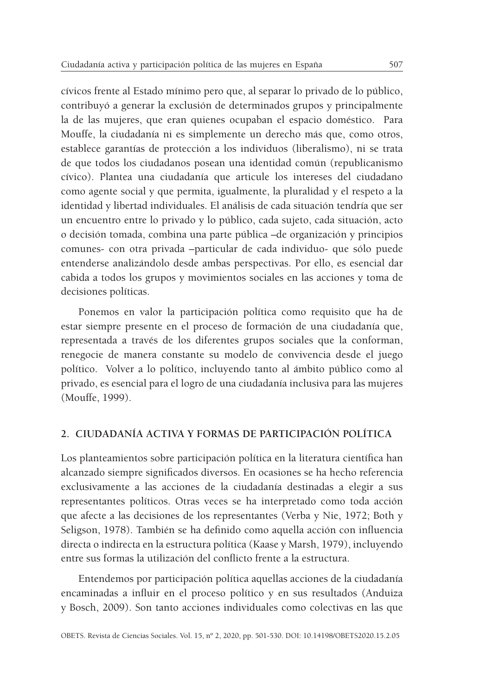cívicos frente al Estado mínimo pero que, al separar lo privado de lo público, contribuyó a generar la exclusión de determinados grupos y principalmente la de las mujeres, que eran quienes ocupaban el espacio doméstico. Para Mouffe, la ciudadanía ni es simplemente un derecho más que, como otros, establece garantías de protección a los individuos (liberalismo), ni se trata de que todos los ciudadanos posean una identidad común (republicanismo cívico). Plantea una ciudadanía que articule los intereses del ciudadano como agente social y que permita, igualmente, la pluralidad y el respeto a la identidad y libertad individuales. El análisis de cada situación tendría que ser un encuentro entre lo privado y lo público, cada sujeto, cada situación, acto o decisión tomada, combina una parte pública –de organización y principios comunes- con otra privada –particular de cada individuo- que sólo puede entenderse analizándolo desde ambas perspectivas. Por ello, es esencial dar cabida a todos los grupos y movimientos sociales en las acciones y toma de decisiones políticas.

Ponemos en valor la participación política como requisito que ha de estar siempre presente en el proceso de formación de una ciudadanía que, representada a través de los diferentes grupos sociales que la conforman, renegocie de manera constante su modelo de convivencia desde el juego político. Volver a lo político, incluyendo tanto al ámbito público como al privado, es esencial para el logro de una ciudadanía inclusiva para las mujeres (Mouffe, 1999).

# **2. CIUDADANÍA ACTIVA Y FORMAS DE PARTICIPACIÓN POLÍTICA**

Los planteamientos sobre participación política en la literatura científica han alcanzado siempre significados diversos. En ocasiones se ha hecho referencia exclusivamente a las acciones de la ciudadanía destinadas a elegir a sus representantes políticos. Otras veces se ha interpretado como toda acción que afecte a las decisiones de los representantes (Verba y Nie, 1972; Both y Seligson, 1978). También se ha definido como aquella acción con influencia directa o indirecta en la estructura política (Kaase y Marsh, 1979), incluyendo entre sus formas la utilización del conflicto frente a la estructura.

Entendemos por participación política aquellas acciones de la ciudadanía encaminadas a influir en el proceso político y en sus resultados (Anduiza y Bosch, 2009). Son tanto acciones individuales como colectivas en las que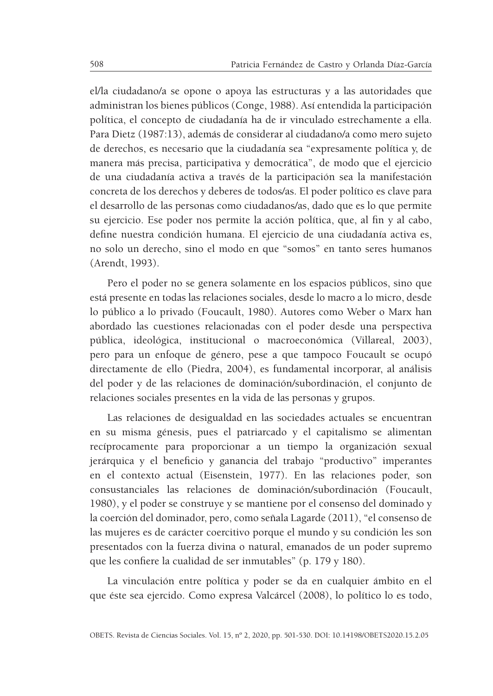el/la ciudadano/a se opone o apoya las estructuras y a las autoridades que administran los bienes públicos (Conge, 1988). Así entendida la participación política, el concepto de ciudadanía ha de ir vinculado estrechamente a ella. Para Dietz (1987:13), además de considerar al ciudadano/a como mero sujeto de derechos, es necesario que la ciudadanía sea "expresamente política y, de manera más precisa, participativa y democrática", de modo que el ejercicio de una ciudadanía activa a través de la participación sea la manifestación concreta de los derechos y deberes de todos/as. El poder político es clave para el desarrollo de las personas como ciudadanos/as, dado que es lo que permite su ejercicio. Ese poder nos permite la acción política, que, al fin y al cabo, define nuestra condición humana. El ejercicio de una ciudadanía activa es, no solo un derecho, sino el modo en que "somos" en tanto seres humanos (Arendt, 1993).

Pero el poder no se genera solamente en los espacios públicos, sino que está presente en todas las relaciones sociales, desde lo macro a lo micro, desde lo público a lo privado (Foucault, 1980). Autores como Weber o Marx han abordado las cuestiones relacionadas con el poder desde una perspectiva pública, ideológica, institucional o macroeconómica (Villareal, 2003), pero para un enfoque de género, pese a que tampoco Foucault se ocupó directamente de ello (Piedra, 2004), es fundamental incorporar, al análisis del poder y de las relaciones de dominación/subordinación, el conjunto de relaciones sociales presentes en la vida de las personas y grupos.

Las relaciones de desigualdad en las sociedades actuales se encuentran en su misma génesis, pues el patriarcado y el capitalismo se alimentan recíprocamente para proporcionar a un tiempo la organización sexual jerárquica y el beneficio y ganancia del trabajo "productivo" imperantes en el contexto actual (Eisenstein, 1977). En las relaciones poder, son consustanciales las relaciones de dominación/subordinación (Foucault, 1980), y el poder se construye y se mantiene por el consenso del dominado y la coerción del dominador, pero, como señala Lagarde (2011), "el consenso de las mujeres es de carácter coercitivo porque el mundo y su condición les son presentados con la fuerza divina o natural, emanados de un poder supremo que les confiere la cualidad de ser inmutables" (p. 179 y 180).

La vinculación entre política y poder se da en cualquier ámbito en el que éste sea ejercido. Como expresa Valcárcel (2008), lo político lo es todo,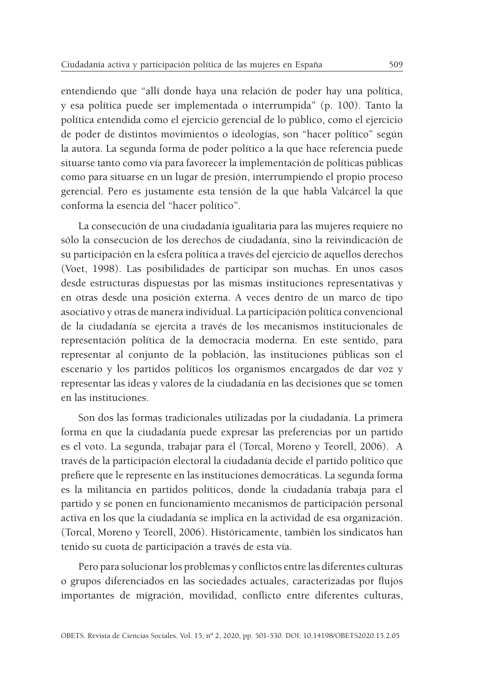entendiendo que "allí donde haya una relación de poder hay una política, y esa política puede ser implementada o interrumpida" (p. 100). Tanto la política entendida como el ejercicio gerencial de lo público, como el ejercicio de poder de distintos movimientos o ideologías, son "hacer político" según la autora. La segunda forma de poder político a la que hace referencia puede situarse tanto como vía para favorecer la implementación de políticas públicas como para situarse en un lugar de presión, interrumpiendo el propio proceso gerencial. Pero es justamente esta tensión de la que habla Valcárcel la que conforma la esencia del "hacer político".

La consecución de una ciudadanía igualitaria para las mujeres requiere no sólo la consecución de los derechos de ciudadanía, sino la reivindicación de su participación en la esfera política a través del ejercicio de aquellos derechos (Voet, 1998). Las posibilidades de participar son muchas. En unos casos desde estructuras dispuestas por las mismas instituciones representativas y en otras desde una posición externa. A veces dentro de un marco de tipo asociativo y otras de manera individual. La participación política convencional de la ciudadanía se ejercita a través de los mecanismos institucionales de representación política de la democracia moderna. En este sentido, para representar al conjunto de la población, las instituciones públicas son el escenario y los partidos políticos los organismos encargados de dar voz y representar las ideas y valores de la ciudadanía en las decisiones que se tomen en las instituciones.

Son dos las formas tradicionales utilizadas por la ciudadanía. La primera forma en que la ciudadanía puede expresar las preferencias por un partido es el voto. La segunda, trabajar para él (Torcal, Moreno y Teorell, 2006). A través de la participación electoral la ciudadanía decide el partido político que prefiere que le represente en las instituciones democráticas. La segunda forma es la militancia en partidos políticos, donde la ciudadanía trabaja para el partido y se ponen en funcionamiento mecanismos de participación personal activa en los que la ciudadanía se implica en la actividad de esa organización. (Torcal, Moreno y Teorell, 2006). Históricamente, también los sindicatos han tenido su cuota de participación a través de esta vía.

Pero para solucionar los problemas y conflictos entre las diferentes culturas o grupos diferenciados en las sociedades actuales, caracterizadas por flujos importantes de migración, movilidad, conflicto entre diferentes culturas,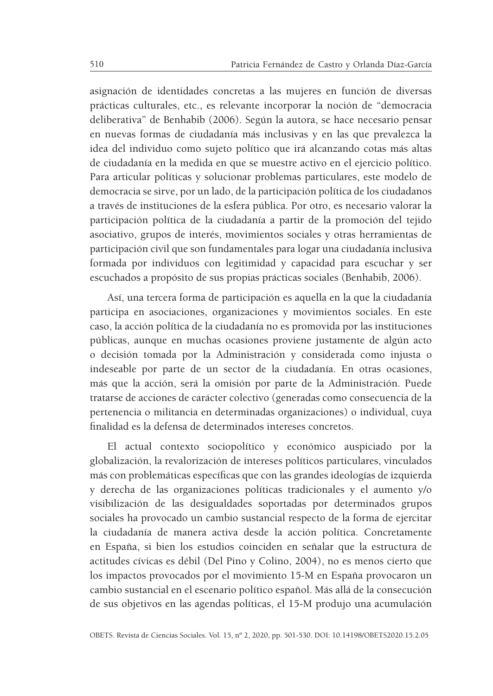asignación de identidades concretas a las mujeres en función de diversas prácticas culturales, etc., es relevante incorporar la noción de "democracia deliberativa" de Benhabib (2006). Según la autora, se hace necesario pensar en nuevas formas de ciudadanía más inclusivas y en las que prevalezca la idea del individuo como sujeto político que irá alcanzando cotas más altas de ciudadanía en la medida en que se muestre activo en el ejercicio político. Para articular políticas y solucionar problemas particulares, este modelo de democracia se sirve, por un lado, de la participación política de los ciudadanos a través de instituciones de la esfera pública. Por otro, es necesario valorar la participación política de la ciudadanía a partir de la promoción del tejido asociativo, grupos de interés, movimientos sociales y otras herramientas de participación civil que son fundamentales para logar una ciudadanía inclusiva formada por individuos con legitimidad y capacidad para escuchar y ser escuchados a propósito de sus propias prácticas sociales (Benhabib, 2006).

Así, una tercera forma de participación es aquella en la que la ciudadanía participa en asociaciones, organizaciones y movimientos sociales. En este caso, la acción política de la ciudadanía no es promovida por las instituciones públicas, aunque en muchas ocasiones proviene justamente de algún acto o decisión tomada por la Administración y considerada como injusta o indeseable por parte de un sector de la ciudadanía. En otras ocasiones, más que la acción, será la omisión por parte de la Administración. Puede tratarse de acciones de carácter colectivo (generadas como consecuencia de la pertenencia o militancia en determinadas organizaciones) o individual, cuya finalidad es la defensa de determinados intereses concretos.

El actual contexto sociopolítico y económico auspiciado por la globalización, la revalorización de intereses políticos particulares, vinculados más con problemáticas específicas que con las grandes ideologías de izquierda y derecha de las organizaciones políticas tradicionales y el aumento y/o visibilización de las desigualdades soportadas por determinados grupos sociales ha provocado un cambio sustancial respecto de la forma de ejercitar la ciudadanía de manera activa desde la acción política. Concretamente en España, si bien los estudios coinciden en señalar que la estructura de actitudes cívicas es débil (Del Pino y Colino, 2004), no es menos cierto que los impactos provocados por el movimiento 15-M en España provocaron un cambio sustancial en el escenario político español. Más allá de la consecución de sus objetivos en las agendas políticas, el 15-M produjo una acumulación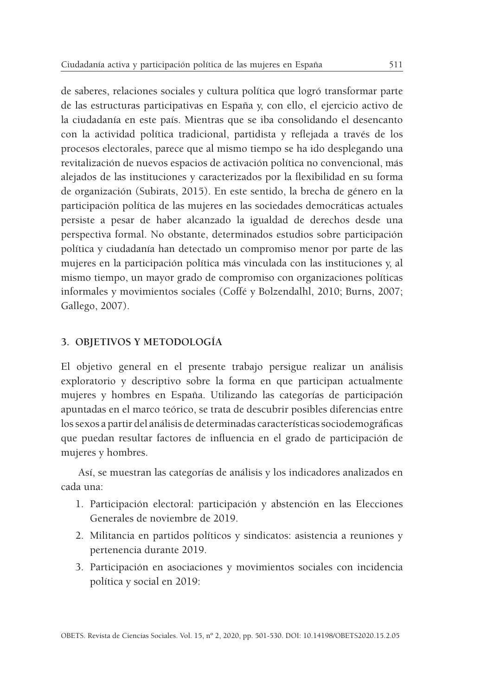de saberes, relaciones sociales y cultura política que logró transformar parte de las estructuras participativas en España y, con ello, el ejercicio activo de la ciudadanía en este país. Mientras que se iba consolidando el desencanto con la actividad política tradicional, partidista y reflejada a través de los procesos electorales, parece que al mismo tiempo se ha ido desplegando una revitalización de nuevos espacios de activación política no convencional, más alejados de las instituciones y caracterizados por la flexibilidad en su forma de organización (Subirats, 2015). En este sentido, la brecha de género en la participación política de las mujeres en las sociedades democráticas actuales persiste a pesar de haber alcanzado la igualdad de derechos desde una perspectiva formal. No obstante, determinados estudios sobre participación política y ciudadanía han detectado un compromiso menor por parte de las mujeres en la participación política más vinculada con las instituciones y, al mismo tiempo, un mayor grado de compromiso con organizaciones políticas informales y movimientos sociales (Coffé y Bolzendalhl, 2010; Burns, 2007; Gallego, 2007).

### **3. OBJETIVOS Y METODOLOGÍA**

El objetivo general en el presente trabajo persigue realizar un análisis exploratorio y descriptivo sobre la forma en que participan actualmente mujeres y hombres en España. Utilizando las categorías de participación apuntadas en el marco teórico, se trata de descubrir posibles diferencias entre los sexos a partir del análisis de determinadas características sociodemográficas que puedan resultar factores de influencia en el grado de participación de mujeres y hombres.

Así, se muestran las categorías de análisis y los indicadores analizados en cada una:

- 1. Participación electoral: participación y abstención en las Elecciones Generales de noviembre de 2019.
- 2. Militancia en partidos políticos y sindicatos: asistencia a reuniones y pertenencia durante 2019.
- 3. Participación en asociaciones y movimientos sociales con incidencia política y social en 2019: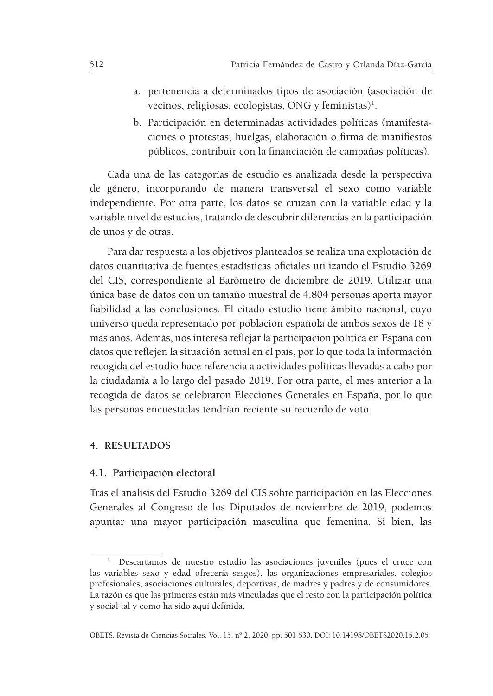- a. pertenencia a determinados tipos de asociación (asociación de vecinos, religiosas, ecologistas, ONG y feministas)<sup>1</sup>.
- b. Participación en determinadas actividades políticas (manifestaciones o protestas, huelgas, elaboración o firma de manifiestos públicos, contribuir con la financiación de campañas políticas).

Cada una de las categorías de estudio es analizada desde la perspectiva de género, incorporando de manera transversal el sexo como variable independiente. Por otra parte, los datos se cruzan con la variable edad y la variable nivel de estudios, tratando de descubrir diferencias en la participación de unos y de otras.

Para dar respuesta a los objetivos planteados se realiza una explotación de datos cuantitativa de fuentes estadísticas oficiales utilizando el Estudio 3269 del CIS, correspondiente al Barómetro de diciembre de 2019. Utilizar una única base de datos con un tamaño muestral de 4.804 personas aporta mayor fiabilidad a las conclusiones. El citado estudio tiene ámbito nacional, cuyo universo queda representado por población española de ambos sexos de 18 y más años. Además, nos interesa reflejar la participación política en España con datos que reflejen la situación actual en el país, por lo que toda la información recogida del estudio hace referencia a actividades políticas llevadas a cabo por la ciudadanía a lo largo del pasado 2019. Por otra parte, el mes anterior a la recogida de datos se celebraron Elecciones Generales en España, por lo que las personas encuestadas tendrían reciente su recuerdo de voto.

#### **4. RESULTADOS**

#### **4.1. Participación electoral**

Tras el análisis del Estudio 3269 del CIS sobre participación en las Elecciones Generales al Congreso de los Diputados de noviembre de 2019, podemos apuntar una mayor participación masculina que femenina. Si bien, las

<sup>1</sup> Descartamos de nuestro estudio las asociaciones juveniles (pues el cruce con las variables sexo y edad ofrecería sesgos), las organizaciones empresariales, colegios profesionales, asociaciones culturales, deportivas, de madres y padres y de consumidores. La razón es que las primeras están más vinculadas que el resto con la participación política y social tal y como ha sido aquí definida.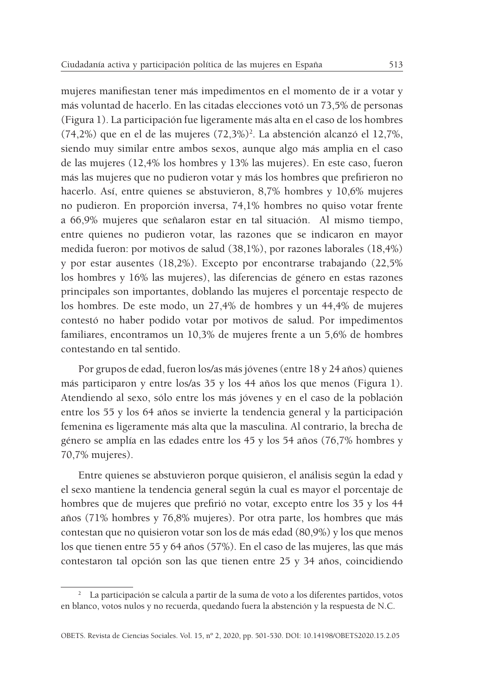mujeres manifiestan tener más impedimentos en el momento de ir a votar y más voluntad de hacerlo. En las citadas elecciones votó un 73,5% de personas (Figura 1). La participación fue ligeramente más alta en el caso de los hombres  $(74,2%)$  que en el de las mujeres  $(72,3%)^2$ . La abstención alcanzó el 12,7%, siendo muy similar entre ambos sexos, aunque algo más amplia en el caso de las mujeres (12,4% los hombres y 13% las mujeres). En este caso, fueron más las mujeres que no pudieron votar y más los hombres que prefirieron no hacerlo. Así, entre quienes se abstuvieron, 8,7% hombres y 10,6% mujeres no pudieron. En proporción inversa, 74,1% hombres no quiso votar frente a 66,9% mujeres que señalaron estar en tal situación. Al mismo tiempo, entre quienes no pudieron votar, las razones que se indicaron en mayor medida fueron: por motivos de salud (38,1%), por razones laborales (18,4%) y por estar ausentes (18,2%). Excepto por encontrarse trabajando (22,5% los hombres y 16% las mujeres), las diferencias de género en estas razones principales son importantes, doblando las mujeres el porcentaje respecto de los hombres. De este modo, un 27,4% de hombres y un 44,4% de mujeres contestó no haber podido votar por motivos de salud. Por impedimentos familiares, encontramos un 10,3% de mujeres frente a un 5,6% de hombres contestando en tal sentido.

Por grupos de edad, fueron los/as más jóvenes (entre 18 y 24 años) quienes más participaron y entre los/as 35 y los 44 años los que menos (Figura 1). Atendiendo al sexo, sólo entre los más jóvenes y en el caso de la población entre los 55 y los 64 años se invierte la tendencia general y la participación femenina es ligeramente más alta que la masculina. Al contrario, la brecha de género se amplía en las edades entre los 45 y los 54 años (76,7% hombres y 70,7% mujeres).

Entre quienes se abstuvieron porque quisieron, el análisis según la edad y el sexo mantiene la tendencia general según la cual es mayor el porcentaje de hombres que de mujeres que prefirió no votar, excepto entre los 35 y los 44 años (71% hombres y 76,8% mujeres). Por otra parte, los hombres que más contestan que no quisieron votar son los de más edad (80,9%) y los que menos los que tienen entre 55 y 64 años (57%). En el caso de las mujeres, las que más contestaron tal opción son las que tienen entre 25 y 34 años, coincidiendo

<sup>&</sup>lt;sup>2</sup> La participación se calcula a partir de la suma de voto a los diferentes partidos, votos en blanco, votos nulos y no recuerda, quedando fuera la abstención y la respuesta de N.C.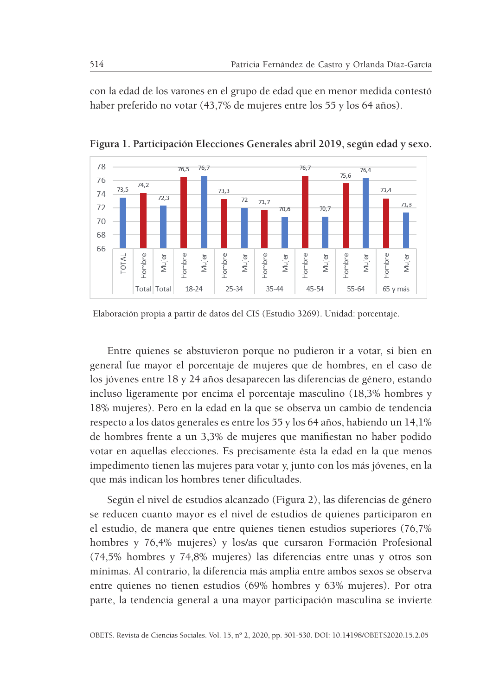con la edad de los varones en el grupo de edad que en menor medida contestó haber preferido no votar (43,7% de mujeres entre los 55 y los 64 años).



**Figura 1. Participación Elecciones Generales abril 2019, según edad y sexo.**

Elaboración propia a partir de datos del CIS (Estudio 3269). Unidad: porcentaje.

Entre quienes se abstuvieron porque no pudieron ir a votar, si bien en general fue mayor el porcentaje de mujeres que de hombres, en el caso de los jóvenes entre 18 y 24 años desaparecen las diferencias de género, estando incluso ligeramente por encima el porcentaje masculino (18,3% hombres y 18% mujeres). Pero en la edad en la que se observa un cambio de tendencia respecto a los datos generales es entre los 55 y los 64 años, habiendo un 14,1% de hombres frente a un 3,3% de mujeres que manifiestan no haber podido votar en aquellas elecciones. Es precisamente ésta la edad en la que menos impedimento tienen las mujeres para votar y, junto con los más jóvenes, en la que más indican los hombres tener dificultades.

Según el nivel de estudios alcanzado (Figura 2), las diferencias de género se reducen cuanto mayor es el nivel de estudios de quienes participaron en el estudio, de manera que entre quienes tienen estudios superiores (76,7% hombres y 76,4% mujeres) y los/as que cursaron Formación Profesional (74,5% hombres y 74,8% mujeres) las diferencias entre unas y otros son mínimas. Al contrario, la diferencia más amplia entre ambos sexos se observa entre quienes no tienen estudios (69% hombres y 63% mujeres). Por otra parte, la tendencia general a una mayor participación masculina se invierte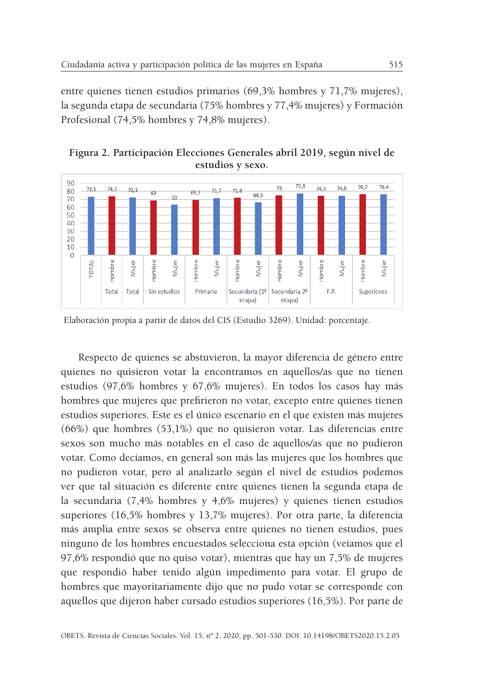entre quienes tienen estudios primarios (69,3% hombres y 71,7% mujeres), la segunda etapa de secundaria (75% hombres y 77,4% mujeres) y Formación Profesional (74,5% hombres y 74,8% mujeres).



Secundaria (1º Secundaria 2º

etapa)

etapal

F.P.

Superiores

**Figura 2. Participación Elecciones Generales abril 2019, según nivel de** 

Elaboración propia a partir de datos del CIS (Estudio 3269). Unidad: porcentaje.

Primaria

Total

Total

Sin estudios

Respecto de quienes se abstuvieron, la mayor diferencia de género entre quienes no quisieron votar la encontramos en aquellos/as que no tienen estudios (97,6% hombres y 67,6% mujeres). En todos los casos hay más hombres que mujeres que prefirieron no votar, excepto entre quienes tienen estudios superiores. Este es el único escenario en el que existen más mujeres (66%) que hombres (53,1%) que no quisieron votar. Las diferencias entre sexos son mucho más notables en el caso de aquellos/as que no pudieron votar. Como decíamos, en general son más las mujeres que los hombres que no pudieron votar, pero al analizarlo según el nivel de estudios podemos ver que tal situación es diferente entre quienes tienen la segunda etapa de la secundaria (7,4% hombres y 4,6% mujeres) y quienes tienen estudios superiores (16,5% hombres y 13,7% mujeres). Por otra parte, la diferencia más amplia entre sexos se observa entre quienes no tienen estudios, pues ninguno de los hombres encuestados selecciona esta opción (veíamos que el 97,6% respondió que no quiso votar), mientras que hay un 7,5% de mujeres que respondió haber tenido algún impedimento para votar. El grupo de hombres que mayoritariamente dijo que no pudo votar se corresponde con aquellos que dijeron haber cursado estudios superiores (16,5%). Por parte de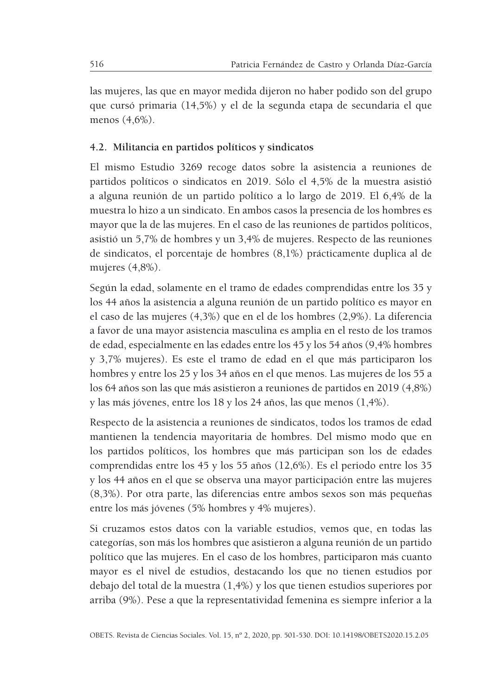las mujeres, las que en mayor medida dijeron no haber podido son del grupo que cursó primaria (14,5%) y el de la segunda etapa de secundaria el que menos (4,6%).

# **4.2. Militancia en partidos políticos y sindicatos**

El mismo Estudio 3269 recoge datos sobre la asistencia a reuniones de partidos políticos o sindicatos en 2019. Sólo el 4,5% de la muestra asistió a alguna reunión de un partido político a lo largo de 2019. El 6,4% de la muestra lo hizo a un sindicato. En ambos casos la presencia de los hombres es mayor que la de las mujeres. En el caso de las reuniones de partidos políticos, asistió un 5,7% de hombres y un 3,4% de mujeres. Respecto de las reuniones de sindicatos, el porcentaje de hombres (8,1%) prácticamente duplica al de mujeres (4,8%).

Según la edad, solamente en el tramo de edades comprendidas entre los 35 y los 44 años la asistencia a alguna reunión de un partido político es mayor en el caso de las mujeres (4,3%) que en el de los hombres (2,9%). La diferencia a favor de una mayor asistencia masculina es amplia en el resto de los tramos de edad, especialmente en las edades entre los 45 y los 54 años (9,4% hombres y 3,7% mujeres). Es este el tramo de edad en el que más participaron los hombres y entre los 25 y los 34 años en el que menos. Las mujeres de los 55 a los 64 años son las que más asistieron a reuniones de partidos en 2019 (4,8%) y las más jóvenes, entre los 18 y los 24 años, las que menos (1,4%).

Respecto de la asistencia a reuniones de sindicatos, todos los tramos de edad mantienen la tendencia mayoritaria de hombres. Del mismo modo que en los partidos políticos, los hombres que más participan son los de edades comprendidas entre los 45 y los 55 años (12,6%). Es el periodo entre los 35 y los 44 años en el que se observa una mayor participación entre las mujeres (8,3%). Por otra parte, las diferencias entre ambos sexos son más pequeñas entre los más jóvenes (5% hombres y 4% mujeres).

Si cruzamos estos datos con la variable estudios, vemos que, en todas las categorías, son más los hombres que asistieron a alguna reunión de un partido político que las mujeres. En el caso de los hombres, participaron más cuanto mayor es el nivel de estudios, destacando los que no tienen estudios por debajo del total de la muestra (1,4%) y los que tienen estudios superiores por arriba (9%). Pese a que la representatividad femenina es siempre inferior a la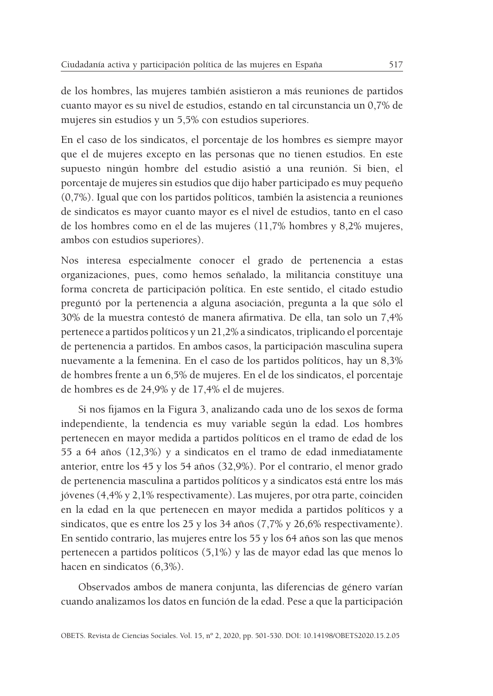de los hombres, las mujeres también asistieron a más reuniones de partidos cuanto mayor es su nivel de estudios, estando en tal circunstancia un 0,7% de mujeres sin estudios y un 5,5% con estudios superiores.

En el caso de los sindicatos, el porcentaje de los hombres es siempre mayor que el de mujeres excepto en las personas que no tienen estudios. En este supuesto ningún hombre del estudio asistió a una reunión. Si bien, el porcentaje de mujeres sin estudios que dijo haber participado es muy pequeño (0,7%). Igual que con los partidos políticos, también la asistencia a reuniones de sindicatos es mayor cuanto mayor es el nivel de estudios, tanto en el caso de los hombres como en el de las mujeres (11,7% hombres y 8,2% mujeres, ambos con estudios superiores).

Nos interesa especialmente conocer el grado de pertenencia a estas organizaciones, pues, como hemos señalado, la militancia constituye una forma concreta de participación política. En este sentido, el citado estudio preguntó por la pertenencia a alguna asociación, pregunta a la que sólo el 30% de la muestra contestó de manera afirmativa. De ella, tan solo un 7,4% pertenece a partidos políticos y un 21,2% a sindicatos, triplicando el porcentaje de pertenencia a partidos. En ambos casos, la participación masculina supera nuevamente a la femenina. En el caso de los partidos políticos, hay un 8,3% de hombres frente a un 6,5% de mujeres. En el de los sindicatos, el porcentaje de hombres es de 24,9% y de 17,4% el de mujeres.

Si nos fijamos en la Figura 3, analizando cada uno de los sexos de forma independiente, la tendencia es muy variable según la edad. Los hombres pertenecen en mayor medida a partidos políticos en el tramo de edad de los 55 a 64 años (12,3%) y a sindicatos en el tramo de edad inmediatamente anterior, entre los 45 y los 54 años (32,9%). Por el contrario, el menor grado de pertenencia masculina a partidos políticos y a sindicatos está entre los más jóvenes (4,4% y 2,1% respectivamente). Las mujeres, por otra parte, coinciden en la edad en la que pertenecen en mayor medida a partidos políticos y a sindicatos, que es entre los 25 y los 34 años (7,7% y 26,6% respectivamente). En sentido contrario, las mujeres entre los 55 y los 64 años son las que menos pertenecen a partidos políticos (5,1%) y las de mayor edad las que menos lo hacen en sindicatos (6,3%).

Observados ambos de manera conjunta, las diferencias de género varían cuando analizamos los datos en función de la edad. Pese a que la participación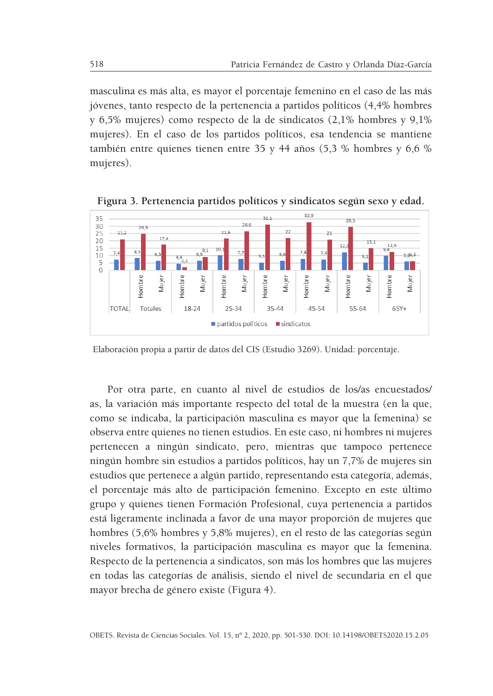masculina es más alta, es mayor el porcentaje femenino en el caso de las más jóvenes, tanto respecto de la pertenencia a partidos políticos (4,4% hombres y 6,5% mujeres) como respecto de la de sindicatos (2,1% hombres y 9,1% mujeres). En el caso de los partidos políticos, esa tendencia se mantiene también entre quienes tienen entre 35 y 44 años (5,3 % hombres y 6,6 % mujeres).



**Figura 3. Pertenencia partidos políticos y sindicatos según sexo y edad.**

Elaboración propia a partir de datos del CIS (Estudio 3269). Unidad: porcentaje.

Por otra parte, en cuanto al nivel de estudios de los/as encuestados/ as, la variación más importante respecto del total de la muestra (en la que, como se indicaba, la participación masculina es mayor que la femenina) se observa entre quienes no tienen estudios. En este caso, ni hombres ni mujeres pertenecen a ningún sindicato, pero, mientras que tampoco pertenece ningún hombre sin estudios a partidos políticos, hay un 7,7% de mujeres sin estudios que pertenece a algún partido, representando esta categoría, además, el porcentaje más alto de participación femenino. Excepto en este último grupo y quienes tienen Formación Profesional, cuya pertenencia a partidos está ligeramente inclinada a favor de una mayor proporción de mujeres que hombres (5,6% hombres y 5,8% mujeres), en el resto de las categorías según niveles formativos, la participación masculina es mayor que la femenina. Respecto de la pertenencia a sindicatos, son más los hombres que las mujeres en todas las categorías de análisis, siendo el nivel de secundaria en el que mayor brecha de género existe (Figura 4).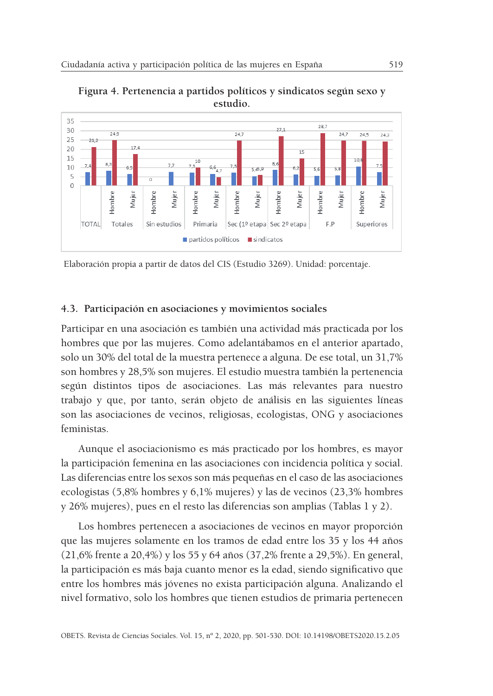

**Figura 4. Pertenencia a partidos políticos y sindicatos según sexo y estudio.**

Elaboración propia a partir de datos del CIS (Estudio 3269). Unidad: porcentaje.

#### **4.3. Participación en asociaciones y movimientos sociales**

Participar en una asociación es también una actividad más practicada por los hombres que por las mujeres. Como adelantábamos en el anterior apartado, solo un 30% del total de la muestra pertenece a alguna. De ese total, un 31,7% son hombres y 28,5% son mujeres. El estudio muestra también la pertenencia según distintos tipos de asociaciones. Las más relevantes para nuestro trabajo y que, por tanto, serán objeto de análisis en las siguientes líneas son las asociaciones de vecinos, religiosas, ecologistas, ONG y asociaciones feministas.

Aunque el asociacionismo es más practicado por los hombres, es mayor la participación femenina en las asociaciones con incidencia política y social. Las diferencias entre los sexos son más pequeñas en el caso de las asociaciones ecologistas (5,8% hombres y 6,1% mujeres) y las de vecinos (23,3% hombres y 26% mujeres), pues en el resto las diferencias son amplias (Tablas 1 y 2).

Los hombres pertenecen a asociaciones de vecinos en mayor proporción que las mujeres solamente en los tramos de edad entre los 35 y los 44 años (21,6% frente a 20,4%) y los 55 y 64 años (37,2% frente a 29,5%). En general, la participación es más baja cuanto menor es la edad, siendo significativo que entre los hombres más jóvenes no exista participación alguna. Analizando el nivel formativo, solo los hombres que tienen estudios de primaria pertenecen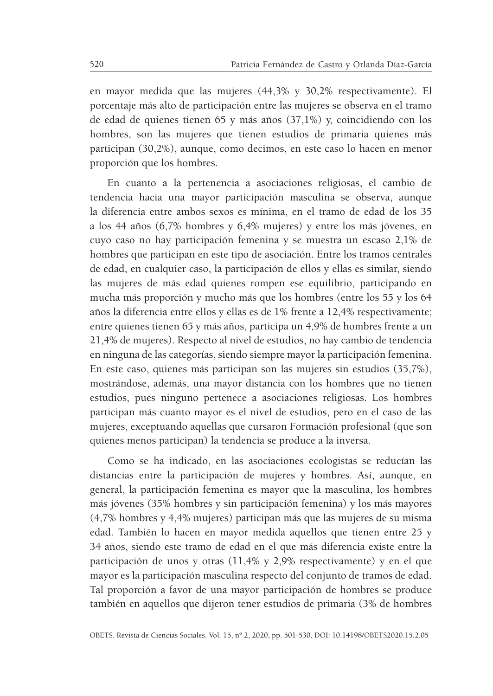en mayor medida que las mujeres (44,3% y 30,2% respectivamente). El porcentaje más alto de participación entre las mujeres se observa en el tramo de edad de quienes tienen 65 y más años (37,1%) y, coincidiendo con los hombres, son las mujeres que tienen estudios de primaria quienes más participan (30,2%), aunque, como decimos, en este caso lo hacen en menor proporción que los hombres.

En cuanto a la pertenencia a asociaciones religiosas, el cambio de tendencia hacia una mayor participación masculina se observa, aunque la diferencia entre ambos sexos es mínima, en el tramo de edad de los 35 a los 44 años (6,7% hombres y 6,4% mujeres) y entre los más jóvenes, en cuyo caso no hay participación femenina y se muestra un escaso 2,1% de hombres que participan en este tipo de asociación. Entre los tramos centrales de edad, en cualquier caso, la participación de ellos y ellas es similar, siendo las mujeres de más edad quienes rompen ese equilibrio, participando en mucha más proporción y mucho más que los hombres (entre los 55 y los 64 años la diferencia entre ellos y ellas es de 1% frente a 12,4% respectivamente; entre quienes tienen 65 y más años, participa un 4,9% de hombres frente a un 21,4% de mujeres). Respecto al nivel de estudios, no hay cambio de tendencia en ninguna de las categorías, siendo siempre mayor la participación femenina. En este caso, quienes más participan son las mujeres sin estudios (35,7%), mostrándose, además, una mayor distancia con los hombres que no tienen estudios, pues ninguno pertenece a asociaciones religiosas. Los hombres participan más cuanto mayor es el nivel de estudios, pero en el caso de las mujeres, exceptuando aquellas que cursaron Formación profesional (que son quienes menos participan) la tendencia se produce a la inversa.

Como se ha indicado, en las asociaciones ecologistas se reducían las distancias entre la participación de mujeres y hombres. Así, aunque, en general, la participación femenina es mayor que la masculina, los hombres más jóvenes (35% hombres y sin participación femenina) y los más mayores (4,7% hombres y 4,4% mujeres) participan más que las mujeres de su misma edad. También lo hacen en mayor medida aquellos que tienen entre 25 y 34 años, siendo este tramo de edad en el que más diferencia existe entre la participación de unos y otras (11,4% y 2,9% respectivamente) y en el que mayor es la participación masculina respecto del conjunto de tramos de edad. Tal proporción a favor de una mayor participación de hombres se produce también en aquellos que dijeron tener estudios de primaria (3% de hombres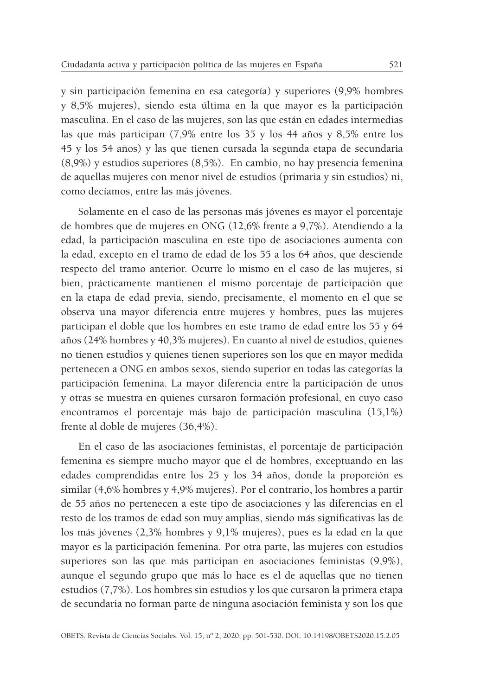y sin participación femenina en esa categoría) y superiores (9,9% hombres y 8,5% mujeres), siendo esta última en la que mayor es la participación masculina. En el caso de las mujeres, son las que están en edades intermedias las que más participan (7,9% entre los 35 y los 44 años y 8,5% entre los 45 y los 54 años) y las que tienen cursada la segunda etapa de secundaria (8,9%) y estudios superiores (8,5%). En cambio, no hay presencia femenina de aquellas mujeres con menor nivel de estudios (primaria y sin estudios) ni, como decíamos, entre las más jóvenes.

Solamente en el caso de las personas más jóvenes es mayor el porcentaje de hombres que de mujeres en ONG (12,6% frente a 9,7%). Atendiendo a la edad, la participación masculina en este tipo de asociaciones aumenta con la edad, excepto en el tramo de edad de los 55 a los 64 años, que desciende respecto del tramo anterior. Ocurre lo mismo en el caso de las mujeres, si bien, prácticamente mantienen el mismo porcentaje de participación que en la etapa de edad previa, siendo, precisamente, el momento en el que se observa una mayor diferencia entre mujeres y hombres, pues las mujeres participan el doble que los hombres en este tramo de edad entre los 55 y 64 años (24% hombres y 40,3% mujeres). En cuanto al nivel de estudios, quienes no tienen estudios y quienes tienen superiores son los que en mayor medida pertenecen a ONG en ambos sexos, siendo superior en todas las categorías la participación femenina. La mayor diferencia entre la participación de unos y otras se muestra en quienes cursaron formación profesional, en cuyo caso encontramos el porcentaje más bajo de participación masculina (15,1%) frente al doble de mujeres (36,4%).

En el caso de las asociaciones feministas, el porcentaje de participación femenina es siempre mucho mayor que el de hombres, exceptuando en las edades comprendidas entre los 25 y los 34 años, donde la proporción es similar (4,6% hombres y 4,9% mujeres). Por el contrario, los hombres a partir de 55 años no pertenecen a este tipo de asociaciones y las diferencias en el resto de los tramos de edad son muy amplias, siendo más significativas las de los más jóvenes (2,3% hombres y 9,1% mujeres), pues es la edad en la que mayor es la participación femenina. Por otra parte, las mujeres con estudios superiores son las que más participan en asociaciones feministas (9,9%), aunque el segundo grupo que más lo hace es el de aquellas que no tienen estudios (7,7%). Los hombres sin estudios y los que cursaron la primera etapa de secundaria no forman parte de ninguna asociación feminista y son los que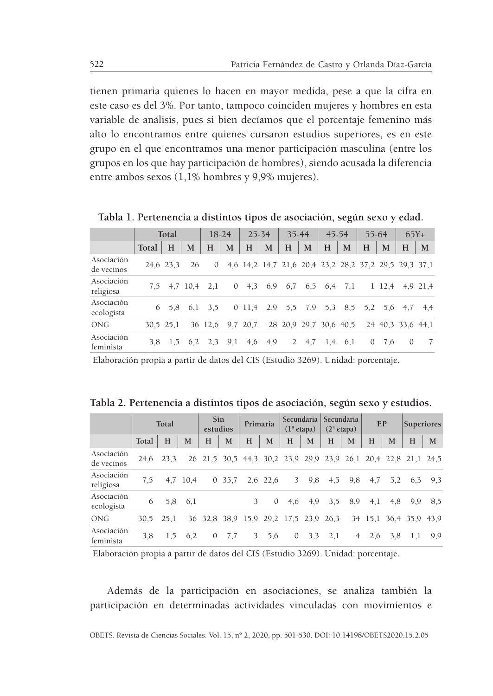tienen primaria quienes lo hacen en mayor medida, pese a que la cifra en este caso es del 3%. Por tanto, tampoco coinciden mujeres y hombres en esta variable de análisis, pues si bien decíamos que el porcentaje femenino más alto lo encontramos entre quienes cursaron estudios superiores, es en este grupo en el que encontramos una menor participación masculina (entre los grupos en los que hay participación de hombres), siendo acusada la diferencia entre ambos sexos (1,1% hombres y 9,9% mujeres).

|                          |       | Total     |          |          | $18-24$      | 25-34     |     | $35 - 44$    |     | $45 - 54$              |     | 55-64        |           | $65Y +$                                               |          |
|--------------------------|-------|-----------|----------|----------|--------------|-----------|-----|--------------|-----|------------------------|-----|--------------|-----------|-------------------------------------------------------|----------|
|                          | Total | H         | M        | Н        | M            | H         | M   | H            | M   | H                      | M   | H            | M         | H                                                     | M        |
| Asociación<br>de vecinos |       | 24.6 23.3 | 26       | $\Omega$ |              |           |     |              |     |                        |     |              |           | 4,6 14,2 14,7 21,6 20,4 23,2 28,2 37,2 29,5 29,3 37,1 |          |
| Asociación<br>religiosa  | 7.5   |           | 4.7 10.4 | 2,1      | $\mathbf{0}$ | 4.3       | 6,9 | 6,7          | 6,5 | 6,4                    | 7,1 |              | $1\;12.4$ |                                                       | 4.9 21.4 |
| Asociación<br>ecologista | 6     | 5.8       | 6.1      | 3.5      |              | $0\;11.4$ | 2,9 | 5,5          | 7,9 | 5,3                    | 8,5 | 5,2          |           | 5.6 4.7                                               | 4.4      |
| ONG                      |       | 30.5 25.1 |          | 36 12.6  |              | 9,7 20,7  |     |              |     | 28 20.9 29.7 30.6 40.5 |     |              |           | 24 40.3 33.6 44.1                                     |          |
| Asociación<br>feminista  | 3.8   | 1,5       | 6,2      | 2,3      | 9,1          | 4,6       | 4,9 | $\mathbf{2}$ | 4.7 | 1,4                    | 6,1 | $\mathbf{0}$ | 7.6       | $\theta$                                              | 7        |

**Tabla 1. Pertenencia a distintos tipos de asociación, según sexo y edad.**

Elaboración propia a partir de datos del CIS (Estudio 3269). Unidad: porcentaje.

| Tabla 2. Pertenencia a distintos tipos de asociación, según sexo y estudios |  |  |  |  |  |  |  |  |
|-----------------------------------------------------------------------------|--|--|--|--|--|--|--|--|
|-----------------------------------------------------------------------------|--|--|--|--|--|--|--|--|

|                          | Total |      |          | Sin<br>estudios |                                  | Primaria |          | Secundaria<br>$(1^a \text{ etapa})$ |     | Secundaria<br>$(2^a \text{ etapa})$ |                | E.P     |     | <b>Superiores</b>                                              |     |
|--------------------------|-------|------|----------|-----------------|----------------------------------|----------|----------|-------------------------------------|-----|-------------------------------------|----------------|---------|-----|----------------------------------------------------------------|-----|
|                          | Total | H    | M        | н               | M                                | H        | M        | н                                   | M   | H                                   | M              | H       | M   | Н                                                              | M   |
| Asociación<br>de vecinos | 24.6  | 23,3 |          |                 |                                  |          |          |                                     |     |                                     |                |         |     | 26 21,5 30,5 44,3 30,2 23,9 29,9 23,9 26,1 20,4 22,8 21,1 24,5 |     |
| Asociación<br>religiosa  | 7.5   |      | 4,7 10,4 |                 | 0, 35, 7                         |          | 2,6 22,6 | 3                                   | 9,8 | 4,5                                 | 9,8            | 4,7     | 5,2 | 6,3                                                            | 9.3 |
| Asociación<br>ecologista | 6     | 5,8  | 6,1      |                 |                                  | 3        | $\Omega$ | 4,6                                 | 4,9 | 3.5                                 | 8,9            | 4,1     | 4,8 | 9,9                                                            | 8.5 |
| <b>ONG</b>               | 30,5  | 25.1 |          |                 | 36 32,8 38,9 15,9 29,2 17,5 23,9 |          |          |                                     |     | 26,3                                |                | 34 15,1 |     | 36.4 35.9 43.9                                                 |     |
| Asociación<br>feminista  | 3,8   | 1,5  | 6,2      | $\theta$        | 7.7                              | 3        | 5,6      | $\sigma$                            | 3.3 | 2,1                                 | $\overline{4}$ | 2,6     | 3,8 | 1,1                                                            | 9,9 |

Elaboración propia a partir de datos del CIS (Estudio 3269). Unidad: porcentaje.

Además de la participación en asociaciones, se analiza también la participación en determinadas actividades vinculadas con movimientos e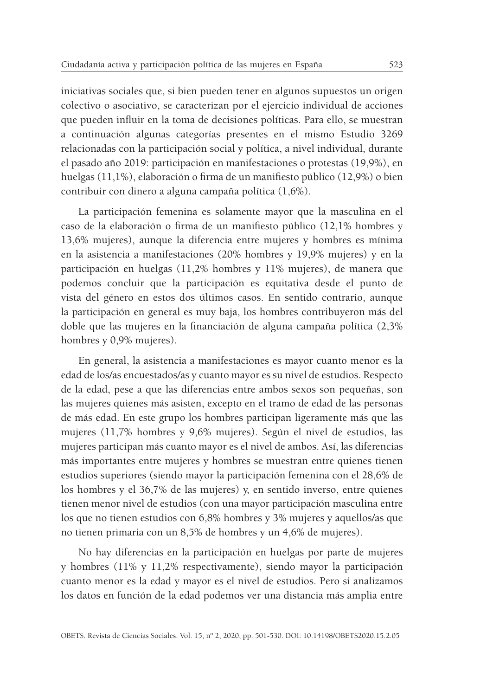iniciativas sociales que, si bien pueden tener en algunos supuestos un origen colectivo o asociativo, se caracterizan por el ejercicio individual de acciones que pueden influir en la toma de decisiones políticas. Para ello, se muestran a continuación algunas categorías presentes en el mismo Estudio 3269 relacionadas con la participación social y política, a nivel individual, durante el pasado año 2019: participación en manifestaciones o protestas (19,9%), en huelgas (11,1%), elaboración o firma de un manifiesto público (12,9%) o bien contribuir con dinero a alguna campaña política (1,6%).

La participación femenina es solamente mayor que la masculina en el caso de la elaboración o firma de un manifiesto público (12,1% hombres y 13,6% mujeres), aunque la diferencia entre mujeres y hombres es mínima en la asistencia a manifestaciones (20% hombres y 19,9% mujeres) y en la participación en huelgas (11,2% hombres y 11% mujeres), de manera que podemos concluir que la participación es equitativa desde el punto de vista del género en estos dos últimos casos. En sentido contrario, aunque la participación en general es muy baja, los hombres contribuyeron más del doble que las mujeres en la financiación de alguna campaña política (2,3% hombres y 0,9% mujeres).

En general, la asistencia a manifestaciones es mayor cuanto menor es la edad de los/as encuestados/as y cuanto mayor es su nivel de estudios. Respecto de la edad, pese a que las diferencias entre ambos sexos son pequeñas, son las mujeres quienes más asisten, excepto en el tramo de edad de las personas de más edad. En este grupo los hombres participan ligeramente más que las mujeres (11,7% hombres y 9,6% mujeres). Según el nivel de estudios, las mujeres participan más cuanto mayor es el nivel de ambos. Así, las diferencias más importantes entre mujeres y hombres se muestran entre quienes tienen estudios superiores (siendo mayor la participación femenina con el 28,6% de los hombres y el 36,7% de las mujeres) y, en sentido inverso, entre quienes tienen menor nivel de estudios (con una mayor participación masculina entre los que no tienen estudios con 6,8% hombres y 3% mujeres y aquellos/as que no tienen primaria con un 8,5% de hombres y un 4,6% de mujeres).

No hay diferencias en la participación en huelgas por parte de mujeres y hombres (11% y 11,2% respectivamente), siendo mayor la participación cuanto menor es la edad y mayor es el nivel de estudios. Pero si analizamos los datos en función de la edad podemos ver una distancia más amplia entre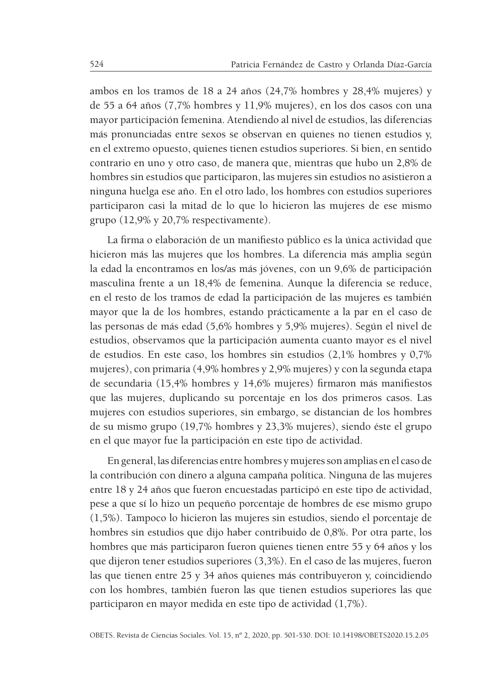ambos en los tramos de 18 a 24 años (24,7% hombres y 28,4% mujeres) y de 55 a 64 años (7,7% hombres y 11,9% mujeres), en los dos casos con una mayor participación femenina. Atendiendo al nivel de estudios, las diferencias más pronunciadas entre sexos se observan en quienes no tienen estudios y, en el extremo opuesto, quienes tienen estudios superiores. Si bien, en sentido contrario en uno y otro caso, de manera que, mientras que hubo un 2,8% de hombres sin estudios que participaron, las mujeres sin estudios no asistieron a ninguna huelga ese año. En el otro lado, los hombres con estudios superiores participaron casi la mitad de lo que lo hicieron las mujeres de ese mismo grupo (12,9% y 20,7% respectivamente).

La firma o elaboración de un manifiesto público es la única actividad que hicieron más las mujeres que los hombres. La diferencia más amplia según la edad la encontramos en los/as más jóvenes, con un 9,6% de participación masculina frente a un 18,4% de femenina. Aunque la diferencia se reduce, en el resto de los tramos de edad la participación de las mujeres es también mayor que la de los hombres, estando prácticamente a la par en el caso de las personas de más edad (5,6% hombres y 5,9% mujeres). Según el nivel de estudios, observamos que la participación aumenta cuanto mayor es el nivel de estudios. En este caso, los hombres sin estudios (2,1% hombres y 0,7% mujeres), con primaria (4,9% hombres y 2,9% mujeres) y con la segunda etapa de secundaria (15,4% hombres y 14,6% mujeres) firmaron más manifiestos que las mujeres, duplicando su porcentaje en los dos primeros casos. Las mujeres con estudios superiores, sin embargo, se distancian de los hombres de su mismo grupo (19,7% hombres y 23,3% mujeres), siendo éste el grupo en el que mayor fue la participación en este tipo de actividad.

En general, las diferencias entre hombres y mujeres son amplias en el caso de la contribución con dinero a alguna campaña política. Ninguna de las mujeres entre 18 y 24 años que fueron encuestadas participó en este tipo de actividad, pese a que sí lo hizo un pequeño porcentaje de hombres de ese mismo grupo (1,5%). Tampoco lo hicieron las mujeres sin estudios, siendo el porcentaje de hombres sin estudios que dijo haber contribuido de 0,8%. Por otra parte, los hombres que más participaron fueron quienes tienen entre 55 y 64 años y los que dijeron tener estudios superiores (3,3%). En el caso de las mujeres, fueron las que tienen entre 25 y 34 años quienes más contribuyeron y, coincidiendo con los hombres, también fueron las que tienen estudios superiores las que participaron en mayor medida en este tipo de actividad (1,7%).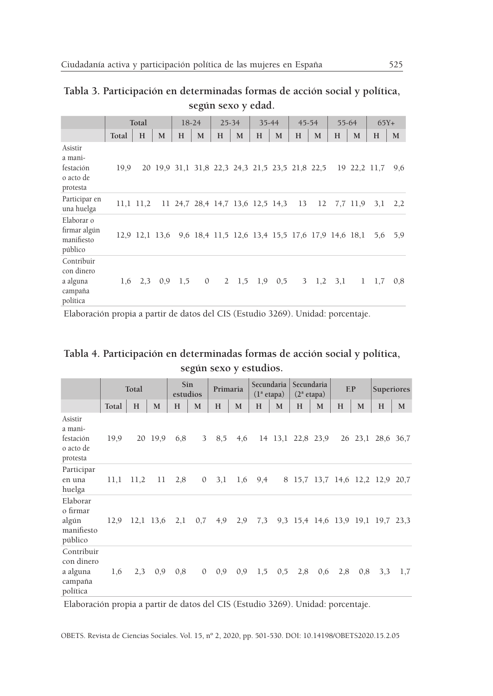|                                                          |       |                |   |                                                 |   |   | según sexo y edad.                               |   |           |   |           |   |             |              |        |
|----------------------------------------------------------|-------|----------------|---|-------------------------------------------------|---|---|--------------------------------------------------|---|-----------|---|-----------|---|-------------|--------------|--------|
|                                                          | Total |                |   | $18-24$                                         |   |   | $25 - 34$                                        |   | $35 - 44$ |   | $45 - 54$ |   | 55-64       |              | $65Y+$ |
|                                                          | Total | H              | М | H                                               | M | H | M                                                | H | M         | H | M         | H | M           | H            | M      |
| Asistir<br>a mani-<br>festación<br>o acto de<br>protesta | 19.9  |                |   | 20 19,9 31,1 31,8 22,3 24,3 21,5 23,5 21,8 22,5 |   |   |                                                  |   |           |   |           |   |             | 19 22,2 11,7 | 9,6    |
| Participar en<br>una huelga                              |       | $11,1$ $11,2$  |   | 11 24,7 28,4 14,7 13,6 12,5 14,3 13             |   |   |                                                  |   |           |   |           |   | 12 7.7 11.9 | 3,1          | 2,2    |
| Elaborar o<br>firmar algún<br>manifiesto<br>público      |       | 12,9 12,1 13,6 |   |                                                 |   |   | 9,6 18,4 11,5 12,6 13,4 15,5 17,6 17,9 14,6 18,1 |   |           |   |           |   |             | 5,6          | 5,9    |

| Tabla 3. Participación en determinadas formas de acción social y política, |                    |  |  |  |
|----------------------------------------------------------------------------|--------------------|--|--|--|
|                                                                            | según sexo y edad. |  |  |  |

Elaboración propia a partir de datos del CIS (Estudio 3269). Unidad: porcentaje.

Contribuir con dinero a alguna campaña política

|  | Tabla 4. Participación en determinadas formas de acción social y política, |  |  |
|--|----------------------------------------------------------------------------|--|--|
|  | según sexo y estudios.                                                     |  |  |

1,6 2,3 0,9 1,5 0 2 1,5 1,9 0,5 3 1,2 3,1 1 1,7 0,8

|                                                             | Total |      |             | Sin<br>estudios |              |     | Primaria | Secundaria<br>$(1^a \text{ etapa})$ |     | Secundaria<br>$(2^a \text{ etapa})$ |     | EP  |      | <b>Superiores</b>                 |           |
|-------------------------------------------------------------|-------|------|-------------|-----------------|--------------|-----|----------|-------------------------------------|-----|-------------------------------------|-----|-----|------|-----------------------------------|-----------|
|                                                             | Total | H    | M           | H               | M            | H   | M        | H                                   | M   | H                                   | M   | H   | M    | H                                 | M         |
| Asistir<br>a mani-<br>festación<br>o acto de<br>protesta    | 19,9  |      | 20 19.9     | 6,8             | 3            | 8,5 | 4,6      |                                     |     | 14 13,1 22,8 23,9                   |     | 26  | 23,1 |                                   | 28,6 36,7 |
| Participar<br>en una<br>huelga                              | 11,1  | 11,2 | 11          | 2,8             | $\mathbf{0}$ | 3,1 | 1,6      | 9,4                                 |     |                                     |     |     |      | 8 15,7 13,7 14,6 12,2 12,9 20,7   |           |
| Elaborar<br>o firmar<br>algún<br>manifiesto<br>público      | 12,9  |      | $12,1$ 13,6 | 2,1             | 0,7          | 4,9 | 2,9      | 7,3                                 |     |                                     |     |     |      | 9,3 15,4 14,6 13,9 19,1 19,7 23,3 |           |
| Contribuir<br>con dinero<br>a alguna<br>campaña<br>política | 1,6   | 2,3  | 0,9         | 0,8             | $\mathbf{0}$ | 0,9 | 0,9      | 1,5                                 | 0,5 | 2,8                                 | 0,6 | 2,8 | 0,8  | 3,3                               | 1,7       |

Elaboración propia a partir de datos del CIS (Estudio 3269). Unidad: porcentaje.

OBETS. Revista de Ciencias Sociales. Vol. 15, nº 2, 2020, pp. 501-530. DOI: 10.14198/OBETS2020.15.2.05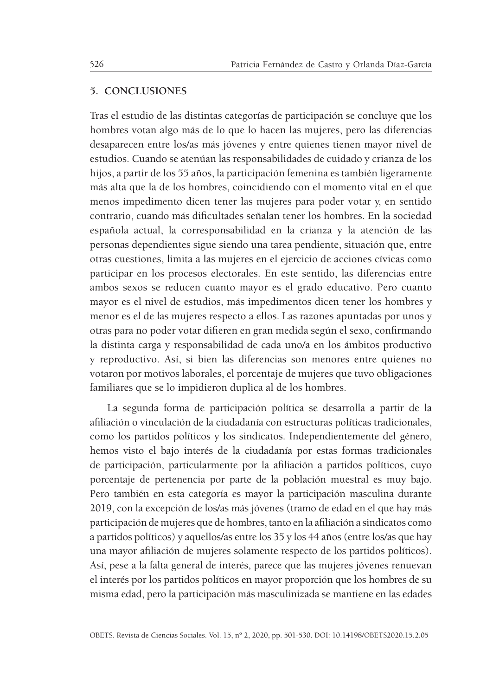#### **5. CONCLUSIONES**

Tras el estudio de las distintas categorías de participación se concluye que los hombres votan algo más de lo que lo hacen las mujeres, pero las diferencias desaparecen entre los/as más jóvenes y entre quienes tienen mayor nivel de estudios. Cuando se atenúan las responsabilidades de cuidado y crianza de los hijos, a partir de los 55 años, la participación femenina es también ligeramente más alta que la de los hombres, coincidiendo con el momento vital en el que menos impedimento dicen tener las mujeres para poder votar y, en sentido contrario, cuando más dificultades señalan tener los hombres. En la sociedad española actual, la corresponsabilidad en la crianza y la atención de las personas dependientes sigue siendo una tarea pendiente, situación que, entre otras cuestiones, limita a las mujeres en el ejercicio de acciones cívicas como participar en los procesos electorales. En este sentido, las diferencias entre ambos sexos se reducen cuanto mayor es el grado educativo. Pero cuanto mayor es el nivel de estudios, más impedimentos dicen tener los hombres y menor es el de las mujeres respecto a ellos. Las razones apuntadas por unos y otras para no poder votar difieren en gran medida según el sexo, confirmando la distinta carga y responsabilidad de cada uno/a en los ámbitos productivo y reproductivo. Así, si bien las diferencias son menores entre quienes no votaron por motivos laborales, el porcentaje de mujeres que tuvo obligaciones familiares que se lo impidieron duplica al de los hombres.

La segunda forma de participación política se desarrolla a partir de la afiliación o vinculación de la ciudadanía con estructuras políticas tradicionales, como los partidos políticos y los sindicatos. Independientemente del género, hemos visto el bajo interés de la ciudadanía por estas formas tradicionales de participación, particularmente por la afiliación a partidos políticos, cuyo porcentaje de pertenencia por parte de la población muestral es muy bajo. Pero también en esta categoría es mayor la participación masculina durante 2019, con la excepción de los/as más jóvenes (tramo de edad en el que hay más participación de mujeres que de hombres, tanto en la afiliación a sindicatos como a partidos políticos) y aquellos/as entre los 35 y los 44 años (entre los/as que hay una mayor afiliación de mujeres solamente respecto de los partidos políticos). Así, pese a la falta general de interés, parece que las mujeres jóvenes renuevan el interés por los partidos políticos en mayor proporción que los hombres de su misma edad, pero la participación más masculinizada se mantiene en las edades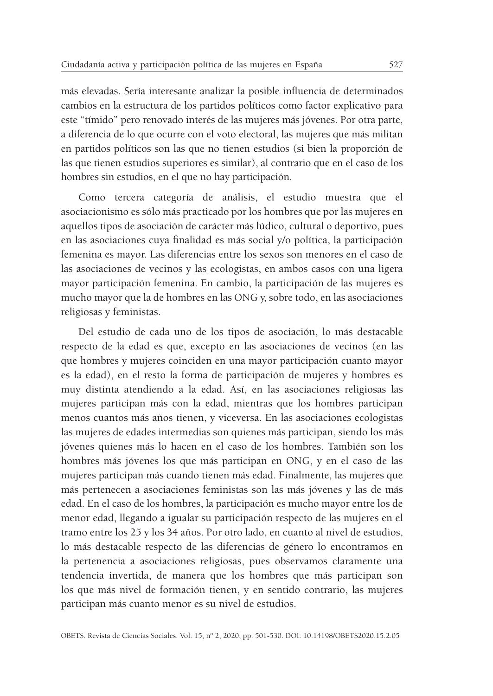más elevadas. Sería interesante analizar la posible influencia de determinados cambios en la estructura de los partidos políticos como factor explicativo para este "tímido" pero renovado interés de las mujeres más jóvenes. Por otra parte, a diferencia de lo que ocurre con el voto electoral, las mujeres que más militan en partidos políticos son las que no tienen estudios (si bien la proporción de las que tienen estudios superiores es similar), al contrario que en el caso de los hombres sin estudios, en el que no hay participación.

Como tercera categoría de análisis, el estudio muestra que el asociacionismo es sólo más practicado por los hombres que por las mujeres en aquellos tipos de asociación de carácter más lúdico, cultural o deportivo, pues en las asociaciones cuya finalidad es más social y/o política, la participación femenina es mayor. Las diferencias entre los sexos son menores en el caso de las asociaciones de vecinos y las ecologistas, en ambos casos con una ligera mayor participación femenina. En cambio, la participación de las mujeres es mucho mayor que la de hombres en las ONG y, sobre todo, en las asociaciones religiosas y feministas.

Del estudio de cada uno de los tipos de asociación, lo más destacable respecto de la edad es que, excepto en las asociaciones de vecinos (en las que hombres y mujeres coinciden en una mayor participación cuanto mayor es la edad), en el resto la forma de participación de mujeres y hombres es muy distinta atendiendo a la edad. Así, en las asociaciones religiosas las mujeres participan más con la edad, mientras que los hombres participan menos cuantos más años tienen, y viceversa. En las asociaciones ecologistas las mujeres de edades intermedias son quienes más participan, siendo los más jóvenes quienes más lo hacen en el caso de los hombres. También son los hombres más jóvenes los que más participan en ONG, y en el caso de las mujeres participan más cuando tienen más edad. Finalmente, las mujeres que más pertenecen a asociaciones feministas son las más jóvenes y las de más edad. En el caso de los hombres, la participación es mucho mayor entre los de menor edad, llegando a igualar su participación respecto de las mujeres en el tramo entre los 25 y los 34 años. Por otro lado, en cuanto al nivel de estudios, lo más destacable respecto de las diferencias de género lo encontramos en la pertenencia a asociaciones religiosas, pues observamos claramente una tendencia invertida, de manera que los hombres que más participan son los que más nivel de formación tienen, y en sentido contrario, las mujeres participan más cuanto menor es su nivel de estudios.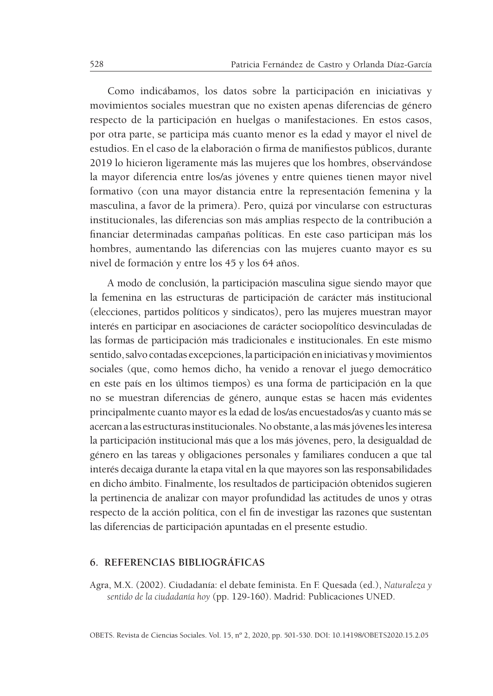Como indicábamos, los datos sobre la participación en iniciativas y movimientos sociales muestran que no existen apenas diferencias de género respecto de la participación en huelgas o manifestaciones. En estos casos, por otra parte, se participa más cuanto menor es la edad y mayor el nivel de estudios. En el caso de la elaboración o firma de manifiestos públicos, durante 2019 lo hicieron ligeramente más las mujeres que los hombres, observándose la mayor diferencia entre los/as jóvenes y entre quienes tienen mayor nivel formativo (con una mayor distancia entre la representación femenina y la masculina, a favor de la primera). Pero, quizá por vincularse con estructuras institucionales, las diferencias son más amplias respecto de la contribución a financiar determinadas campañas políticas. En este caso participan más los hombres, aumentando las diferencias con las mujeres cuanto mayor es su nivel de formación y entre los 45 y los 64 años.

A modo de conclusión, la participación masculina sigue siendo mayor que la femenina en las estructuras de participación de carácter más institucional (elecciones, partidos políticos y sindicatos), pero las mujeres muestran mayor interés en participar en asociaciones de carácter sociopolítico desvinculadas de las formas de participación más tradicionales e institucionales. En este mismo sentido, salvo contadas excepciones, la participación en iniciativas y movimientos sociales (que, como hemos dicho, ha venido a renovar el juego democrático en este país en los últimos tiempos) es una forma de participación en la que no se muestran diferencias de género, aunque estas se hacen más evidentes principalmente cuanto mayor es la edad de los/as encuestados/as y cuanto más se acercan a las estructuras institucionales. No obstante, a las más jóvenes les interesa la participación institucional más que a los más jóvenes, pero, la desigualdad de género en las tareas y obligaciones personales y familiares conducen a que tal interés decaiga durante la etapa vital en la que mayores son las responsabilidades en dicho ámbito. Finalmente, los resultados de participación obtenidos sugieren la pertinencia de analizar con mayor profundidad las actitudes de unos y otras respecto de la acción política, con el fin de investigar las razones que sustentan las diferencias de participación apuntadas en el presente estudio.

#### **6. REFERENCIAS BIBLIOGRÁFICAS**

Agra, M.X. (2002). Ciudadanía: el debate feminista. En F. Quesada (ed.), *Naturaleza y sentido de la ciudadanía hoy* (pp. 129-160). Madrid: Publicaciones UNED.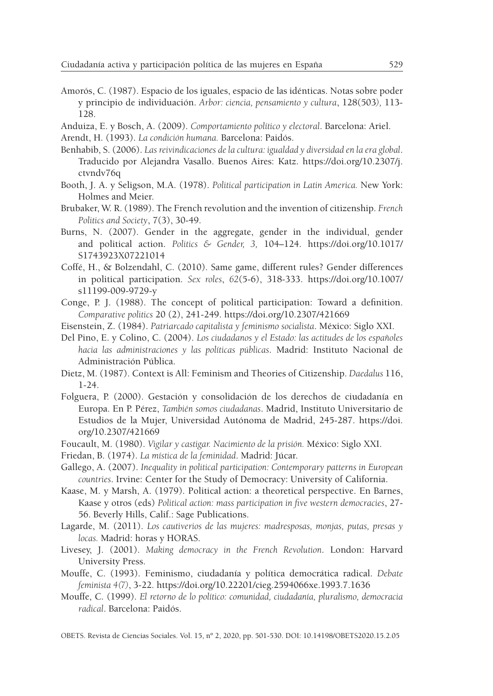- Amorós, C. (1987). Espacio de los iguales, espacio de las idénticas. Notas sobre poder y principio de individuación. *Arbor: ciencia, pensamiento y cultura*, 128(503*),* 113- 128.
- Anduiza, E. y Bosch, A. (2009). *Comportamiento político y electoral*. Barcelona: Ariel.
- Arendt, H. (1993). *La condición humana.* Barcelona: Paidós.
- Benhabib, S. (2006). *Las reivindicaciones de la cultura: igualdad y diversidad en la era global*. Traducido por Alejandra Vasallo. Buenos Aires: Katz. https://doi.org/10.2307/j. ctvndv76q
- Booth, J. A. y Seligson, M.A. (1978). *Political participation in Latin America.* New York: Holmes and Meier.
- Brubaker, W. R. (1989). The French revolution and the invention of citizenship. *French Politics and Society*, 7(3), 30-49.
- Burns, N. (2007). Gender in the aggregate, gender in the individual, gender and political action. *Politics & Gender, 3,* 104–124. https://doi.org/10.1017/ S1743923X07221014
- Coffé, H., & Bolzendahl, C. (2010). Same game, different rules? Gender differences in political participation. *Sex roles*, *62*(5-6), 318-333. https://doi.org/10.1007/ s11199-009-9729-y
- Conge, P. J. (1988). The concept of political participation: Toward a definition. *Comparative politics* 20 (2), 241-249. https://doi.org/10.2307/421669
- Eisenstein, Z. (1984). *Patriarcado capitalista y feminismo socialista*. México: Siglo XXI.
- Del Pino, E. y Colino, C. (2004). *Los ciudadanos y el Estado: las actitudes de los españoles hacia las administraciones y las políticas públicas*. Madrid: Instituto Nacional de Administración Pública.
- Dietz, M. (1987). Context is All: Feminism and Theories of Citizenship. *Daedalus* 116, 1-24.
- Folguera, P. (2000). Gestación y consolidación de los derechos de ciudadanía en Europa. En P. Pérez, *También somos ciudadanas*. Madrid, Instituto Universitario de Estudios de la Mujer, Universidad Autónoma de Madrid, 245-287. https://doi. org/10.2307/421669
- Foucault, M. (1980). *Vigilar y castigar. Nacimiento de la prisión.* México: Siglo XXI.
- Friedan, B. (1974). *La mística de la feminidad*. Madrid: Júcar.
- Gallego, A. (2007). *Inequality in political participation: Contemporary patterns in European countries*. Irvine: Center for the Study of Democracy: University of California.
- Kaase, M. y Marsh, A. (1979). Political action: a theoretical perspective. En Barnes, Kaase y otros (eds) *Political action: mass participation in five western democracies*, 27- 56. Beverly Hills, Calif.: Sage Publications.
- Lagarde, M. (2011). *Los cautiverios de las mujeres: madresposas, monjas, putas, presas y locas.* Madrid: horas y HORAS.
- Livesey, J. (2001). *Making democracy in the French Revolution*. London: Harvard University Press.
- Mouffe, C. (1993). Feminismo, ciudadanía y política democrática radical. *Debate feminista 4(7)*, 3-22. https://doi.org/10.22201/cieg.2594066xe.1993.7.1636
- Mouffe, C. (1999). *El retorno de lo político: comunidad, ciudadanía, pluralismo, democracia radical*. Barcelona: Paidós.

OBETS. Revista de Ciencias Sociales. Vol. 15, nº 2, 2020, pp. 501-530. DOI: 10.14198/OBETS2020.15.2.05